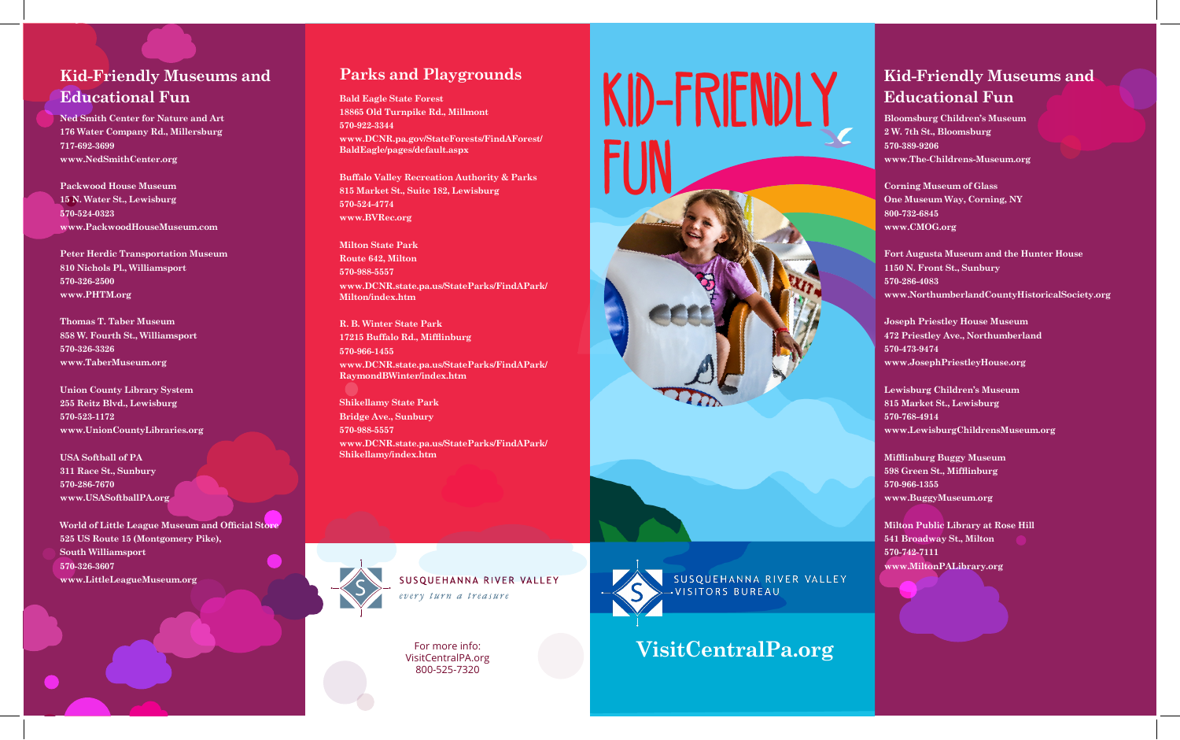# **Kid-Friendly Museums and Educational Fun**

**Ned Smith Center for Nature and Art 176 Water Company Rd., Millersburg 717-692-3699 www.NedSmithCenter.org**

**Packwood House Museum 15 N. Water St., Lewisburg 570-524-0323 www.PackwoodHouseMuseum.com** 

**Peter Herdic Transportation Museum 810 Nichols Pl., Williamsport 570-326-2500 www.PHTM.org** 

**Thomas T. Taber Museum 858 W. Fourth St., Williamsport 570-326-3326 www.TaberMuseum.org** 

**Union County Library System 255 Reitz Blvd., Lewisburg 570-523-1172 www.UnionCountyLibraries.org**

**USA Softball of PA 311 Race St., Sunbury 570-286-7670 www.USASoftballPA.org** 

**World of Little League Museum and Official Store 525 US Route 15 (Montgomery Pike), South Williamsport 570-326-3607 www.LittleLeagueMuseum.org** 

# **Parks and Playgrounds**

**Bald Eagle State Forest 18865 Old Turnpike Rd., Millmont 570-922-3344 www.DCNR.pa.gov/StateForests/FindAForest/ BaldEagle/pages/default.aspx** 

**Buffalo Valley Recreation Authority & Parks 815 Market St., Suite 182, Lewisburg 570-524-4774 www.BVRec.org** 

**Milton State Park Route 642, Milton 570-988-5557 www.DCNR.state.pa.us/StateParks/FindAPark/**

**Milton/index.htm**

**R. B. Winter State Park 17215 Buffalo Rd., Mifflinburg 570-966-1455 www.DCNR.state.pa.us/StateParks/FindAPark/ RaymondBWinter/index.htm** 

**Shikellamy State Park Bridge Ave., Sunbury 570-988-5557 www.DCNR.state.pa.us/StateParks/FindAPark/ Shikellamy/index.htm** 



For more info: VisitCentralPA.org 800-525-7320



**VisitCentralPa.org**

**VISITORS BUREAU** 

SUSOUEHANNA RIVER VALLEY

# **Kid-Friendly Museums and Educational Fun**

**Bloomsburg Children's Museum 2 W. 7th St., Bloomsburg 570-389-9206 www.The-Childrens-Museum.org** 

**Corning Museum of Glass One Museum Way, Corning, NY 800-732-6845 www.CMOG.org** 

**Fort Augusta Museum and the Hunter House 1150 N. Front St., Sunbury 570-286-4083 www.NorthumberlandCountyHistoricalSociety.org** 

**Joseph Priestley House Museum 472 Priestley Ave., Northumberland 570-473-9474 www.JosephPriestleyHouse.org** 

**Lewisburg Children's Museum 815 Market St., Lewisburg 570-768-4914 www.LewisburgChildrensMuseum.org**

**Mifflinburg Buggy Museum 598 Green St., Mifflinburg 570-966-1355 www.BuggyMuseum.org**

**Milton Public Library at Rose Hill 541 Broadway St., Milton 570-742-7111 www.MiltonPALibrary.org**